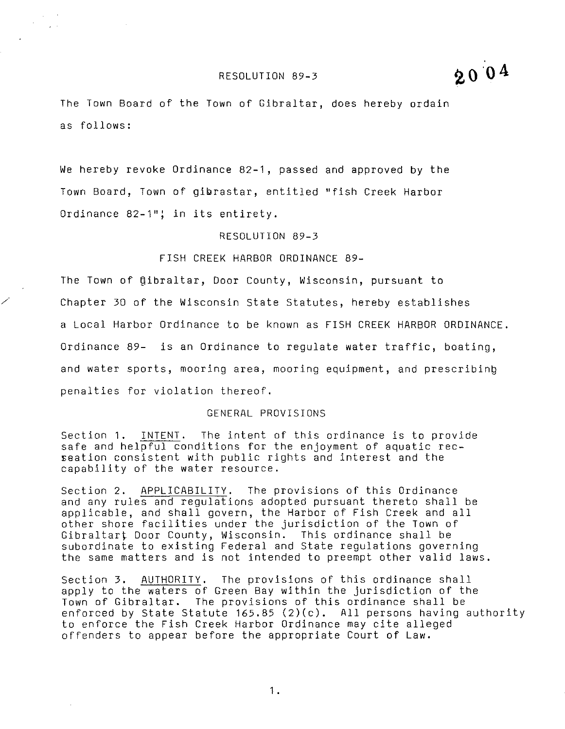#### RESOLUTION 89-3

2004

The Town Board of the Town of Gibraltar, does hereby ordain as follows:

We hereby revoke Ordinance 82-1, passed and approved by the Town Board, Town of gibrastar, entitled ''fish Creek Harbor Ordinance 82-1"; in its entirety.

#### RESOLUTION 89-3

#### FISH CREEK HARBOR ORDINANCE 89-

*/* 

 $\mathcal{L}_{\rm{max}}$  $\mathcal{L}^{\text{max}}$ 

> The Town of gibraltar, Door County, Wisconsin, pursuant to Chapter 30 of the Wisconsin state Statutes, hereby establishes a Local Harbor Ordinance to be known as FISH CREEK HARBOR ORDINANCE. Ordinance 89- is an Ordinance to regulate water traffic, boating, and water sports, mooring area, mooring equipment, and prescribing penalties for violation thereof.

#### GENERAL PROVISIONS

Section 1. INTENT. The intent of this ordinance is to provide safe and helpful conditions for the enjoyment of aquatic rec $-$ Eeation consistent with public rights and interest and the capability of the water resource.

Section 2. APPLICABILITY. The provisions of this Ordinance and any rules and regulations adopted pursuant thereto shall be applicable, and shall govern, the Harbor of Fish Creek and all other shore facilities under the jurisdiction of the Town of Gibraltart Door County, Wisconsin. This ordinance shall be subordinate to existing Federal and State regulations governing the same matters and is not intended to preempt other valid laws.

Section 3. AUTHORITY. The provisions of this ordinance shall apply to the waters of Green Bay within the jurisdiction of the Town of Gibraltar. The provisions of this ordinance shall be enforced by State Statute 165.85 (2)(c). All persons having authority to enforce the Fish Creek Harbor Ordinance may cite alleged offenders to appear before the appropriate Court of Law.

1 •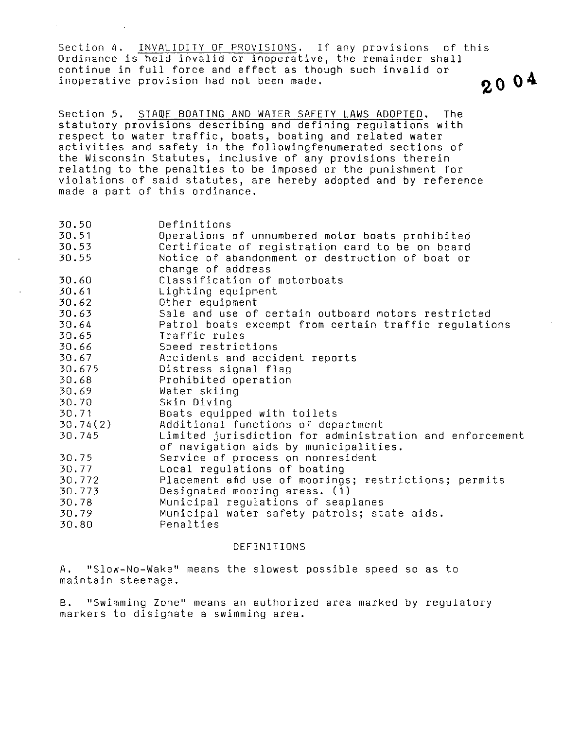Section 4. INVALIDITY OF PROVISIONS. If any provisions of this Ordinance is held invalid or inoperative, the remainder shall continue in full force and effect as though such invalid or inoperative provision had not been made.  $\theta \cap \mathbf{0}^{\mathbf{4}}$ 

Section 5. STAmE BOATING AND WATER SAFETY LAWS ADOPTED. The statutory provisions describing and defining regulations with respect to water traffic, boats, boating and related water activities and safety in the followingfenumerated sections of the Wisconsin Statutes, inclusive of any provisions therein relating to the penalties to be imposed or the punishment for violations of said statutes, are hereby adopted and by reference made a part of this ordinance.

| 30.50                                                             | Definitions                                           |  |  |  |
|-------------------------------------------------------------------|-------------------------------------------------------|--|--|--|
| 30.51                                                             | Operations of unnumbered motor boats prohibited       |  |  |  |
| 30.53                                                             | Certificate of registration card to be on board       |  |  |  |
| 30.55                                                             | Notice of abandonment or destruction of boat or       |  |  |  |
|                                                                   | change of address                                     |  |  |  |
| 30.60                                                             | Classification of motorboats                          |  |  |  |
| 30.61                                                             | Lighting equipment                                    |  |  |  |
| 30.62                                                             | Other equipment                                       |  |  |  |
| 30.63                                                             | Sale and use of certain outboard motors restricted    |  |  |  |
| 30.64                                                             | Patrol boats excempt from certain traffic regulations |  |  |  |
| 30.65                                                             | Traffic rules                                         |  |  |  |
| 30.66                                                             | Speed restrictions                                    |  |  |  |
| 30.67                                                             | Accidents and accident reports                        |  |  |  |
| 30.675                                                            | Distress signal flag                                  |  |  |  |
| 30.68                                                             | Prohibited operation                                  |  |  |  |
| 30.69                                                             | Water skiing                                          |  |  |  |
| 30.70                                                             | Skin Diving                                           |  |  |  |
| 30.71                                                             | Boats equipped with toilets                           |  |  |  |
| 30.74(2)                                                          | Additional functions of department                    |  |  |  |
| 30.745<br>Limited jurisdiction for administration and enforcement |                                                       |  |  |  |
|                                                                   | of navigation aids by municipalities.                 |  |  |  |
| 30.75                                                             | Service of process on nonresident                     |  |  |  |
| 30.77                                                             | Local regulations of boating                          |  |  |  |
| 30.772                                                            | Placement and use of moorings; restrictions; permits  |  |  |  |
| 30.773                                                            | Designated mooring areas. (1)                         |  |  |  |
| 30.78                                                             | Municipal regulations of seaplanes                    |  |  |  |
| 30.79                                                             | Municipal water safety patrols; state aids.           |  |  |  |
| 30.80                                                             | Penalties                                             |  |  |  |
|                                                                   |                                                       |  |  |  |

#### DEFINITIONS

A. ''Slow-No-Wake'' means the slowest possible speed so as to maintain steerage.

B. ''Swimming Zone'' means an authorized area marked by regulatory markers to disignate a swimming area.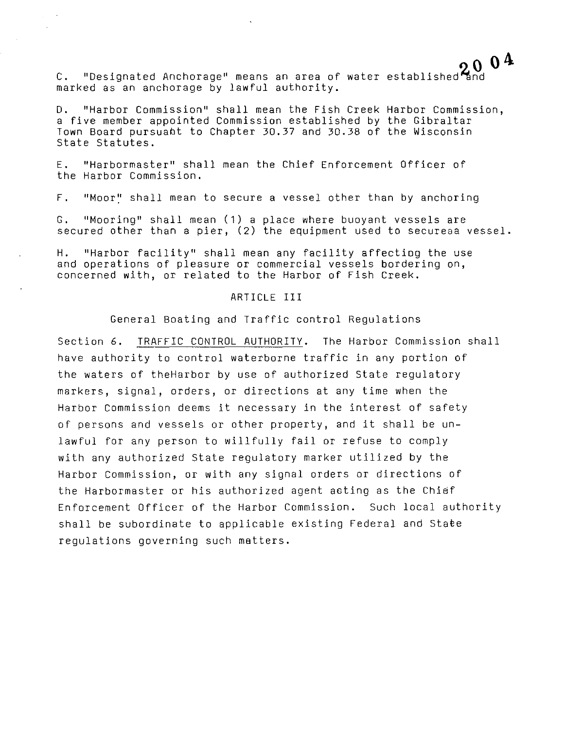C. ''Designated Anchorage'' means an area of marked as an anchorage by lawful authority. water established and  $\sum_{\text{d}}$ 

D. ''Harbor Commission'' shall mean the Fish Creek Harbor Commission, a five member appointed Commission established by the Gibraltar Town Board pursuant to Chapter 30.37 and 30.38 of the Wisconsin State Statutes.

E. ''Harbormaster'' shall mean the Chief Enforcement Officer of the Harbor Commission.

F. ''Moor:' shall mean to secure a vessel other than by anchoring

G. ''Mooring'' shall mean (1) a place where buoyant vessels are secured other than a pier, (2) the equipment used to secureaa vessel.

H. "Harbor facility'' shall mean any facility affectiog the use and operations of pleasure or commercial vessels bordering on, concerned with, or related to the Harbor of Fish Creek.

#### ARTICLE III

General Boating and Traffic control Regulations

Section 6. TRAFFIC CONTROL AUTHORITY. The Harbor Commission shall have authority to control waterborne traffic in any portion of the waters of theHarbor by use of authorized State regulatory markers, signal, orders, or directions at any time when the Harbor Commission deems it necessary in the interest of safety of persons and vessels or other property, and it shall be unlawful for any person to willfully fail or refuse to comply with any authorized State regulatory marker utilized by the Harbor Commission, or with any signal orders or directions of the Harbormaster or his authorized agent aeting as the Chief Enforcement Officer of the Harbor Commission. Such local authority shall be subordinate to applicable existing Federal and Staee regulations governing such matters.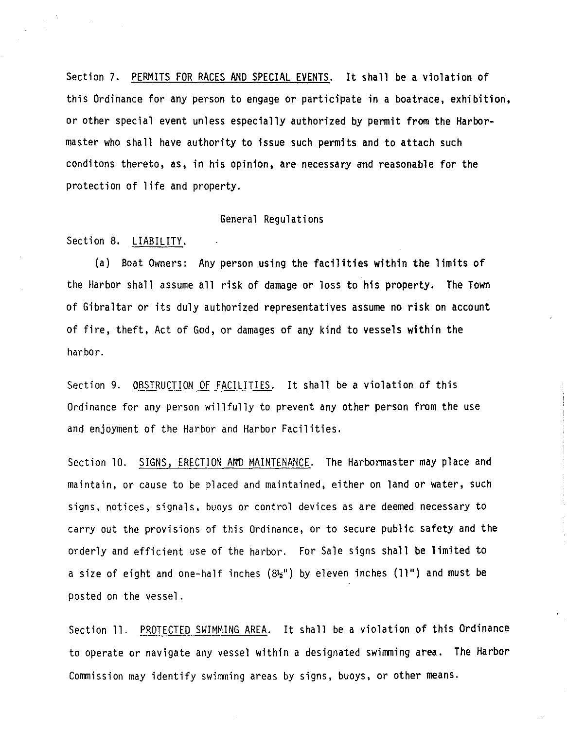Section 7. PERMITS FOR RACES AND SPECIAL EVENTS. It shall be a violation of this Ordinance for any person to engage or participate in a boatrace, exhibition, or other special event unless especially authorized by permit from the Harbormaster who shall have authority to issue such permits and to attach such conditons thereto, as, in his opinion, are necessary and reasonable for the protection of life and property.

#### General Regulations

Section 8. LIABILITY.

(a) Boat Owners: Any person using the facilities within the limits of the Harbor shall assume all risk of damage or loss to his property. The Town of Gibraltar or its duly authorized representatives assume no risk on account of fire, theft, Act of God, or damages of any kind to vessels within the harbor.

Section 9. OBSTRUCTION OF FACILITIES. It shall be a violation of this Ordinance for any person willfully to prevent any other person from the use and enjoyment of the Harbor and Harbor Facilities.

Section 10. SIGNS, ERECTION AmD MAINTENANCE. The Harbormaster may place and maintain, or cause to be placed and maintained, either on land or water, such signs, notices, signals, buoys or control devices as are deemed necessary to carry out the provisions of this Ordinance, or to secure public safety and the orderly and efficient use of the harbor. For Sale signs shall be limited to a size of eight and one-half inches  $(832^{\circ})$  by eleven inches (11") and must be posted on the vessel.

Section 11. PROTECTED SWIMMING AREA. It shall be a violation of this Ordinance to operate or navigate any vessel within a designated swimming area. The Harbor Commission may identify swimming areas by signs, buoys, or other means.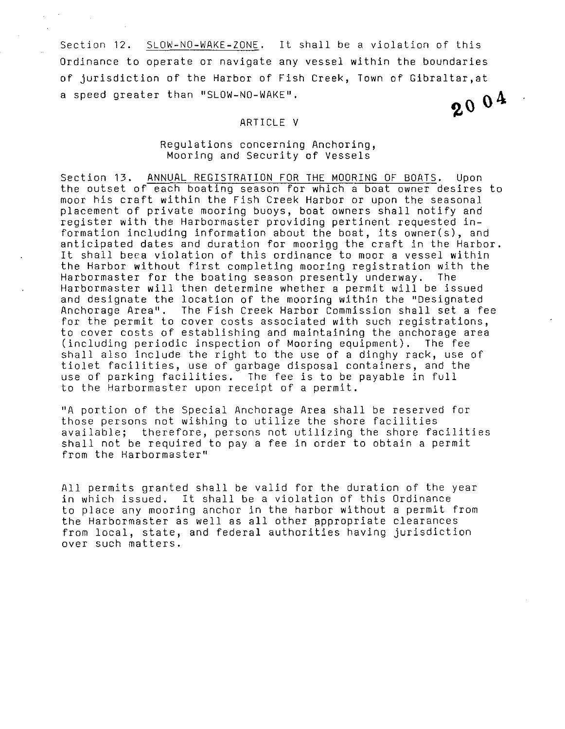Section 12. SLOW-NO-WAKE-ZONE. It shall be a violation of this Ordinance to operate or navigate any vessel within the boundaries of jurisdiction of the Harbor of Fish Creek, Town of Gibraltar, at<br>a speed greater than "SLOW-NO-WAKE".<br> $\bullet \bullet \bullet$ a speed greater than ''SLOW-NO-WAKE''·

#### ARTICLE V

#### Regulations concerning Anchoring, Mooring and Security of Vessels

Section 13. ANNUAL REGISTRATION FOR THE MOORING OF BOATS. Upon the outset of each boating season for which a boat owner desires to moor his craft within the Fish Creek Harbor or upon the seasonal placement of private mooring buoys, boat owners shall notify and register with the Harbormaster providing pertinent requested information including information about the boat, its owner(s), and anticipated dates and duration for moorigg the craft in the Harbor. It shall beca violation of this ordinance to moor a vessel within the Harbor without first completing mooring registration with the<br>Harbormaster for the boating season presently underway. The Harbormaster for the boating season presently underway. Harbormaster will then determine whether a permit will be issued and designate the location of the mooring within the "Designated Anchorage Area''. The Fish Creek Harbor Commission shall set a fee for the permit to cover costs associated with such registrations, to cover costs of establishing and maintaining the anchorage area<br>(including periodic inspection of Mooring equipment). The fee (including periodic inspection of Mooring equipment). shall also include the right to the use of a dinghy rack, use of tiolet facilities, use of garbage disposal containers, and the use of parking facilities. The fee is to be payable in full to the Harbormaster upon receipt of a permit.

''A portion of the Special Anchorage Area shall be reserved for those persons not wishing to utilize the shore facilities available; therefore, persons not utilizing the shore facilities shall not be required to pay a fee in order to obtain a permit from the Harbormaster''

All permits granted shall be valid for the duration of the year in which issued. It shall be a violation of this Ordinance to place any mooring anchor in the harbor without a permit from the Harbormaster as well as all other appropriate clearances from local, state, and federal authorities having jurisdiction over such matters.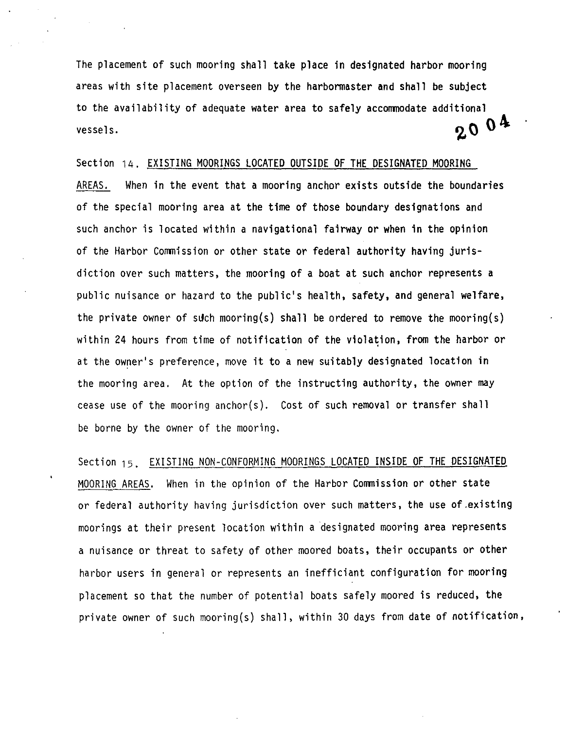The placement of such mooring shall take place in designated harbor mooring areas with site placement overseen by the harbormaster and shall be subject to the availability of adequate water area to safely accommodate additional vessels.  $\sim$  0  $^4$ 

Section 14. EXISTING MOORINGS LOCATED OUTSIDE OF THE DESIGNATED MOORING AREAS. When in the event that a mooring anchor exists outside the boundaries of the special mooring area at the time of those boundary designations and such anchor is located within a navigational fairway or when in the opinion of the Harbor Commission or other state or federal authority having jurisdiction over such matters, the mooring of a boat at such anchor represents a public nuisance or hazard to the public's health, safety, and general welfare, the private owner of such mooring(s) shall be ordered to remove the mooring(s) within 24 hours from time of notification of the violation, from the harbor or at the owner's preference, move it to a new suitably designated location in the mooring area. At the option of the instructing authority, the owner may cease use of the mooring anchor(s). Cost of such removal or transfer shall be borne by the owner of the mooring.

Section <sub>15</sub>. EXISTING NON-CONFORMING MOORINGS LOCATED INSIDE OF THE DESIGNATED MOORING AREAS. When in the opinion of the Harbor Commission or other state or federal authority having jurisdiction over such matters, the use of.existing moorings at their present location within a designated mooring area represents a nuisance or threat to safety of other moored boats, their occupants or other harbor users in general or represents an inefficiant configuration for mooring placement so that the number of potential boats safely moored is reduced, the private owner of such mooring(s) shall, within 30 days from date of notification,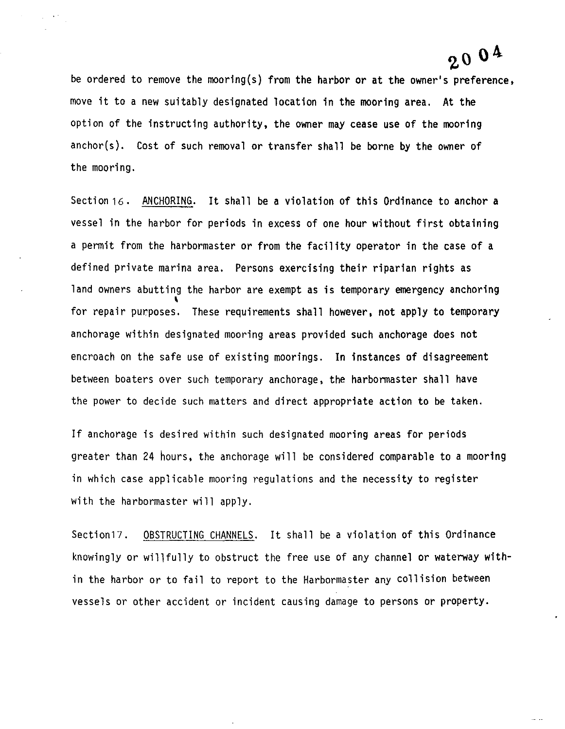## zo o4

 $\cdots$ 

be ordered to remove the mooring(s) from the harbor or at the owner's preference, move it to a new suitably designated location in the mooring area. At the option of the instructing authority, the owner may cease use of the mooring anchor(s). Cost of such removal or transfer shall be borne by the owner of the mooring.

Section 16. ANCHORING. It shall be a violation of this Ordinance to anchor a vessel in the harbor for periods in excess of one hour without first obtaining a permit from the harbormaster or from the facility operator in the case of a defined private marina area. Persons exercising their riparian rights as land owners abutting the harbor are exempt as is temporary emergency anchoring for repair purposes. These requirements shall however, not apply to temporary anchorage within designated mooring areas provided such anchorage does not encroach on the safe use of existing moorings. In instances of disagreement between boaters over such temporary anchorage, the harbormaster shall have the power to decide such matters and direct appropriate action to be taken.

If anchorage is desired within such designated mooring areas for periods greater than 24 hours, the anchorage will be considered comparable to a mooring in which case applicable mooring regulations and the necessity to register with the harbormaster will apply.

Section17. OBSTRUCTING CHANNELS. It shall be a violation of this Ordinance knowingly or willfully to obstruct the free use of any channel or waterway within the harbor or to fail to report to the Harbormaster any collision between vessels or other accident or incident causing damage to persons or property.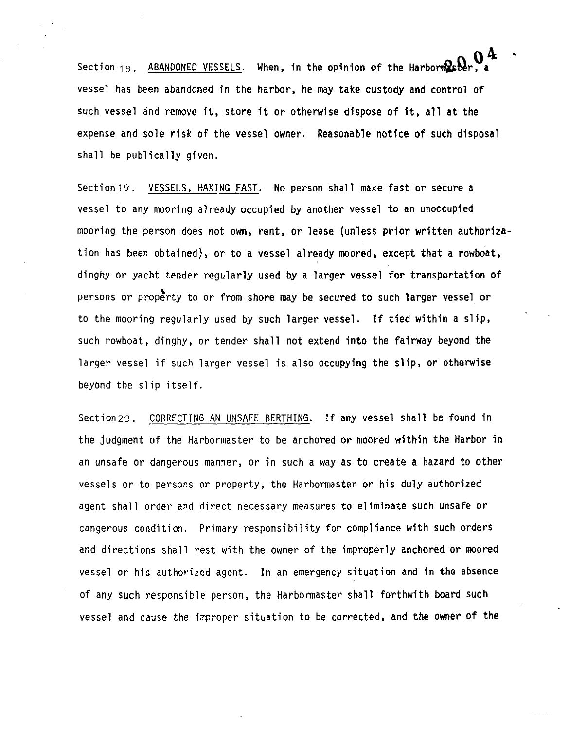Section  $18$ . ABANDONED VESSELS. When, in the opinion of the Harbor  $\mathbb{R}$   $\mathbb{N}_\mathbf{r}$  , a  $0<sup>4</sup>$ vessel has been abandoned in the harbor, he may take custody and control of such vessel and remove it, store it or otherwise dispose of it, all at the expense and sole risk of the vessel owner. Reasonable notice of such disposal shall be publically given.

Section19. VESSELS, MAKING FAST. No person shall make fast or secure a vessel to any mooring already occupied by another vessel to an unoccupied mooring the person does not own, rent, or lease (unless prior written authorization has been obtained), or to a vessel already moored, except that a rowboat, dinghy or yacht tender regularly used by a larger vessel for transportation of persons or property to or from shore may be secured to such larger vessel or to the mooring regularly used by such larger vessel. If tied within a slip, such rowboat, dinghy, or tender shall not extend into the fairway beyond the larger vessel if such larger vessel is also occupying the slip, or otherwise beyond the slip itself.

Section20. CORRECTING AN UNSAFE BERTHING. If any vessel shall be found in the judgment of the Harbormaster to be anchored or moored within the Harbor in an unsafe or dangerous manner, or in such a way as to create a hazard to other vessels or to persons or property, the Harbormaster or his duly authorized agent shall order and direct necessary measures to eliminate such unsafe or cangerous condition. Primary responsibility for compliance with such orders and directions shall rest with the owner of the improperly anchored or moored vessel or his authorized agent. In an emergency situation and in the absence of any such responsible person, the Harbormaster shall forthwith board such vessel and cause the improper situation to be corrected, and the owner of the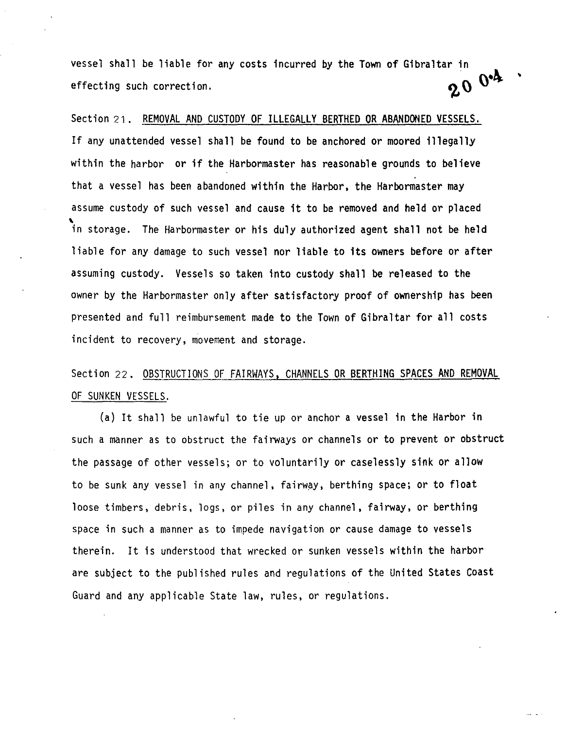vessel shall be liable for any costs incurred by the Town of Gibraltar in effecting such correction.  $200^{o4}$ 

'

Section 21. REMOVAL AND CUSTODY OF ILLEGALLY BERTHED OR ABANDONED VESSELS. If any unattended vessel shall be found to be anchored or moored illegally within the harbor or if the Harbormaster has reasonable grounds to believe that a vessel has been abandoned within the Harbor, the Harbormaster may assume custody of such vessel and cause it to be removed and held or placed \ in storage. The Harbormaster or his duly authorized agent shall not be held liable for any damage to such vessel nor liable to its owners before or after assuming custody. Vessels so taken into custody shall be released to the owner by the Harbormaster only after satisfactory proof of ownership has been presented and full reimbursement made to the Town of Gibraltar for all costs incident to recovery, movement and storage.

### Section 22. OBSTRUCTIONS OF FAIRWAYS, CHANNELS OR BERTHING SPACES AND REMOVAL OF SUNKEN VESSELS.

(a) It shall be unlawful to tie up or anchor a vessel in the Harbor in such a manner as to obstruct the fairways or channels or to prevent or obstruct the passage of other vessels; or to voluntarily or caselessly sink or allow to be sunk any vessel in any channel, fairway, berthing space; or to float loose timbers, debris, logs, or piles in any channel, fairway, or berthing space in such a manner as to impede navigation or cause damage to vessels therein. It is understood that wrecked or sunken vessels within the harbor are subject to the published rules and regulations of the United States Coast Guard and any applicable State law, rules, or regulations.